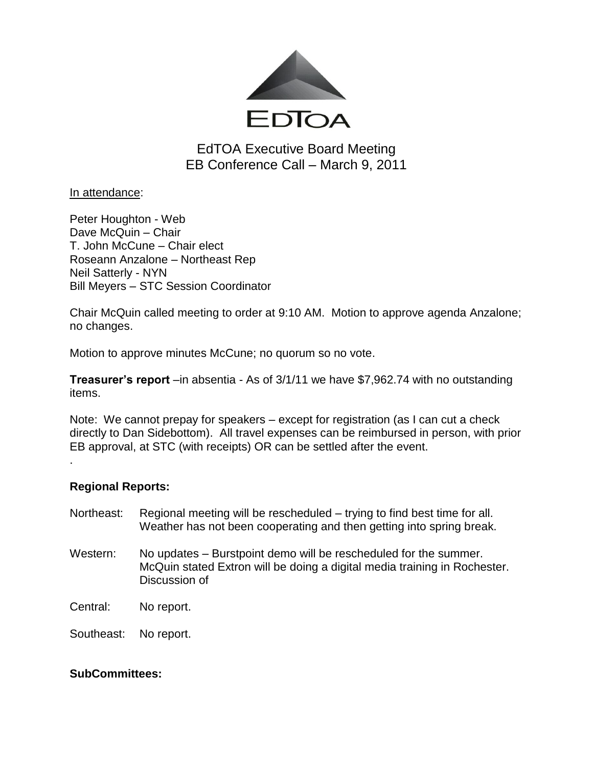

EdTOA Executive Board Meeting EB Conference Call – March 9, 2011

In attendance:

Peter Houghton - Web Dave McQuin – Chair T. John McCune – Chair elect Roseann Anzalone – Northeast Rep Neil Satterly - NYN Bill Meyers – STC Session Coordinator

Chair McQuin called meeting to order at 9:10 AM. Motion to approve agenda Anzalone; no changes.

Motion to approve minutes McCune; no quorum so no vote.

**Treasurer's report** –in absentia - As of 3/1/11 we have \$7,962.74 with no outstanding items.

Note: We cannot prepay for speakers – except for registration (as I can cut a check directly to Dan Sidebottom). All travel expenses can be reimbursed in person, with prior EB approval, at STC (with receipts) OR can be settled after the event.

## **Regional Reports:**

.

- Northeast: Regional meeting will be rescheduled trying to find best time for all. Weather has not been cooperating and then getting into spring break.
- Western: No updates Burstpoint demo will be rescheduled for the summer. McQuin stated Extron will be doing a digital media training in Rochester. Discussion of

Central: No report.

Southeast: No report.

## **SubCommittees:**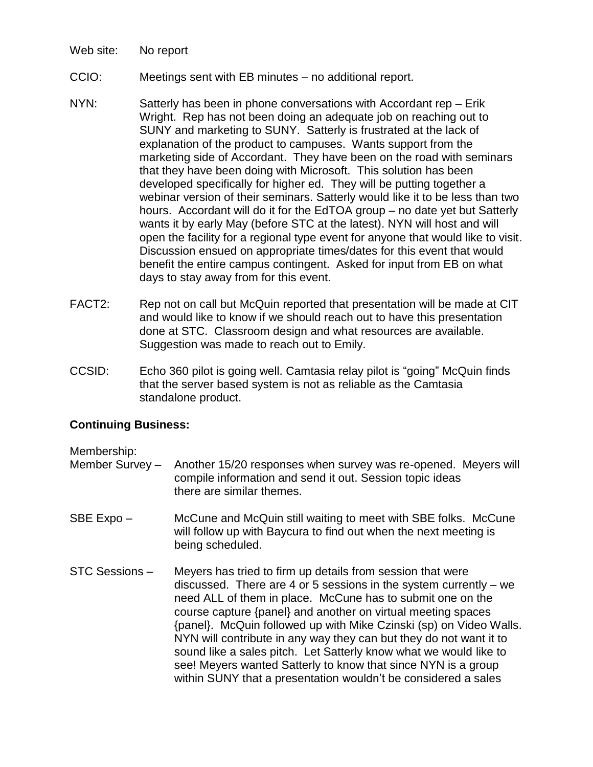- Web site: No report
- CCIO: Meetings sent with EB minutes no additional report.
- NYN: Satterly has been in phone conversations with Accordant rep Erik Wright. Rep has not been doing an adequate job on reaching out to SUNY and marketing to SUNY. Satterly is frustrated at the lack of explanation of the product to campuses. Wants support from the marketing side of Accordant. They have been on the road with seminars that they have been doing with Microsoft. This solution has been developed specifically for higher ed. They will be putting together a webinar version of their seminars. Satterly would like it to be less than two hours. Accordant will do it for the EdTOA group – no date yet but Satterly wants it by early May (before STC at the latest). NYN will host and will open the facility for a regional type event for anyone that would like to visit. Discussion ensued on appropriate times/dates for this event that would benefit the entire campus contingent. Asked for input from EB on what days to stay away from for this event.
- FACT2: Rep not on call but McQuin reported that presentation will be made at CIT and would like to know if we should reach out to have this presentation done at STC. Classroom design and what resources are available. Suggestion was made to reach out to Emily.
- CCSID: Echo 360 pilot is going well. Camtasia relay pilot is "going" McQuin finds that the server based system is not as reliable as the Camtasia standalone product.

## **Continuing Business:**

Membership:

- Member Survey Another 15/20 responses when survey was re-opened. Meyers will compile information and send it out. Session topic ideas there are similar themes.
- SBE Expo McCune and McQuin still waiting to meet with SBE folks. McCune will follow up with Baycura to find out when the next meeting is being scheduled.
- STC Sessions Meyers has tried to firm up details from session that were discussed. There are 4 or 5 sessions in the system currently – we need ALL of them in place. McCune has to submit one on the course capture {panel} and another on virtual meeting spaces {panel}. McQuin followed up with Mike Czinski (sp) on Video Walls. NYN will contribute in any way they can but they do not want it to sound like a sales pitch. Let Satterly know what we would like to see! Meyers wanted Satterly to know that since NYN is a group within SUNY that a presentation wouldn't be considered a sales